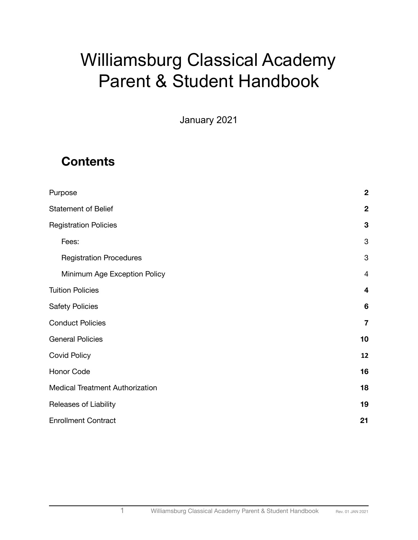# Williamsburg Classical Academy Parent & Student Handbook

January 2021

# **Contents**

| Purpose                                | $\boldsymbol{2}$        |
|----------------------------------------|-------------------------|
| <b>Statement of Belief</b>             | $\mathbf 2$             |
| <b>Registration Policies</b>           | 3                       |
| Fees:                                  | $\mathbf{3}$            |
| <b>Registration Procedures</b>         | $\mathbf{3}$            |
| Minimum Age Exception Policy           | $\overline{4}$          |
| <b>Tuition Policies</b>                | 4                       |
| <b>Safety Policies</b>                 | 6                       |
| <b>Conduct Policies</b>                | $\overline{\mathbf{7}}$ |
| <b>General Policies</b>                | 10                      |
| <b>Covid Policy</b>                    | 12                      |
| Honor Code                             | 16                      |
| <b>Medical Treatment Authorization</b> | 18                      |
| Releases of Liability                  | 19                      |
| <b>Enrollment Contract</b>             | 21                      |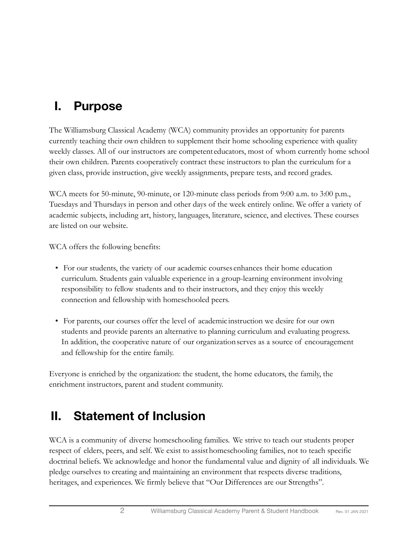# <span id="page-1-0"></span>**I. Purpose**

The Williamsburg Classical Academy (WCA) community provides an opportunity for parents currently teaching their own children to supplement their home schooling experience with quality weekly classes. All of our instructors are competent educators, most of whom currently home school their own children. Parents cooperatively contract these instructors to plan the curriculum for a given class, provide instruction, give weekly assignments, prepare tests, and record grades.

WCA meets for 50-minute, 90-minute, or 120-minute class periods from 9:00 a.m. to 3:00 p.m., Tuesdays and Thursdays in person and other days of the week entirely online. We offer a variety of academic subjects, including art, history, languages, literature, science, and electives. These courses are listed on our website.

WCA offers the following benefits:

- For our students, the variety of our academic courses enhances their home education curriculum. Students gain valuable experience in a group-learning environment involving responsibility to fellow students and to their instructors, and they enjoy this weekly connection and fellowship with homeschooled peers.
- For parents, our courses offer the level of academic instruction we desire for our own students and provide parents an alternative to planning curriculum and evaluating progress. In addition, the cooperative nature of our organizationserves as a source of encouragement and fellowship for the entire family.

Everyone is enriched by the organization: the student, the home educators, the family, the enrichment instructors, parent and student community.

# <span id="page-1-1"></span>**II. Statement of Inclusion**

WCA is a community of diverse homeschooling families. We strive to teach our students proper respect of elders, peers, and self. We exist to assisthomeschooling families, not to teach specific doctrinal beliefs. We acknowledge and honor the fundamental value and dignity of all individuals. We pledge ourselves to creating and maintaining an environment that respects diverse traditions, heritages, and experiences. We firmly believe that "Our Differences are our Strengths".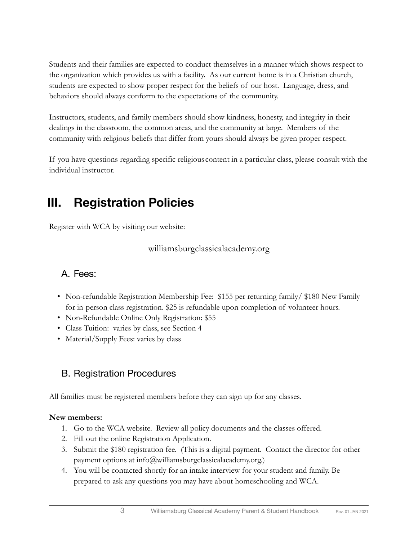Students and their families are expected to conduct themselves in a manner which shows respect to the organization which provides us with a facility. As our current home is in a Christian church, students are expected to show proper respect for the beliefs of our host. Language, dress, and behaviors should always conform to the expectations of the community.

Instructors, students, and family members should show kindness, honesty, and integrity in their dealings in the classroom, the common areas, and the community at large. Members of the community with religious beliefs that differ from yours should always be given proper respect.

If you have questions regarding specific religious content in a particular class, please consult with the individual instructor.

# <span id="page-2-0"></span>**III. Registration Policies**

Register with WCA by visiting our website:

williamsburgclassicalacademy.org

### <span id="page-2-1"></span>A. Fees:

- Non-refundable Registration Membership Fee: \$155 per returning family \$180 New Family for in-person class registration. \$25 is refundable upon completion of volunteer hours.
- Non-Refundable Online Only Registration: \$55
- Class Tuition: varies by class, see Section 4
- Material/Supply Fees: varies by class

### <span id="page-2-2"></span>B. Registration Procedures

All families must be registered members before they can sign up for any classes.

### **New members:**

- 1. Go to the WCA website. Review all policy documents and the classes offered.
- 2. Fill out the online Registration Application.
- 3. Submit the \$180 registration fee. (This is a digital payment. Contact the director for other payment options at info@williamsburgclassicalacademy.org.)
- 4. You will be contacted shortly for an intake interview for your student and family. Be prepared to ask any questions you may have about homeschooling and WCA.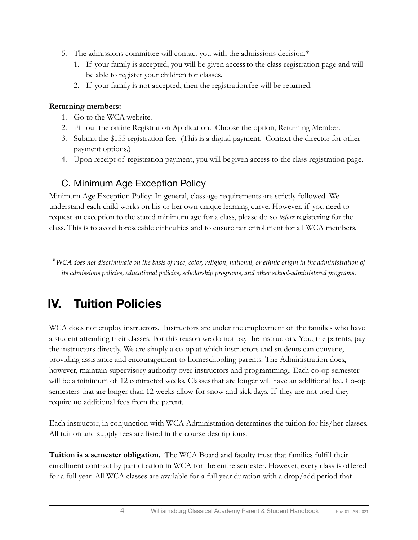- 5. The admissions committee will contact you with the admissions decision.\*
	- 1. If your family is accepted, you will be given accessto the class registration page and will be able to register your children for classes.
	- 2. If your family is not accepted, then the registration fee will be returned.

### **Returning members:**

- 1. Go to the WCA website.
- 2. Fill out the online Registration Application. Choose the option, Returning Member.
- 3. Submit the \$155 registration fee. (This is a digital payment. Contact the director for other payment options.)
- 4. Upon receipt of registration payment, you will be given access to the class registration page.

### <span id="page-3-0"></span>C. Minimum Age Exception Policy

Minimum Age Exception Policy: In general, class age requirements are strictly followed. We understand each child works on his or her own unique learning curve. However, if you need to request an exception to the stated minimum age for a class, please do so *before* registering for the class. This is to avoid foreseeable difficulties and to ensure fair enrollment for all WCA members.

\*WCA does not discriminate on the basis of race, color, religion, national, or ethnic origin in the administration of *its admissions policies, educational policies, scholarship programs, and other school-administered programs.*

# <span id="page-3-1"></span>**IV. Tuition Policies**

WCA does not employ instructors. Instructors are under the employment of the families who have a student attending their classes. For this reason we do not pay the instructors. You, the parents, pay the instructors directly. We are simply a co-op at which instructors and students can convene, providing assistance and encouragement to homeschooling parents. The Administration does, however, maintain supervisory authority over instructors and programming.. Each co-op semester will be a minimum of 12 contracted weeks. Classes that are longer will have an additional fee. Co-op semesters that are longer than 12 weeks allow for snow and sick days. If they are not used they require no additional fees from the parent.

Each instructor, in conjunction with WCA Administration determines the tuition for his/her classes. All tuition and supply fees are listed in the course descriptions.

**Tuition is a semester obligation**. The WCA Board and faculty trust that families fulfill their enrollment contract by participation in WCA for the entire semester. However, every class is offered for a full year. All WCA classes are available for a full year duration with a drop/add period that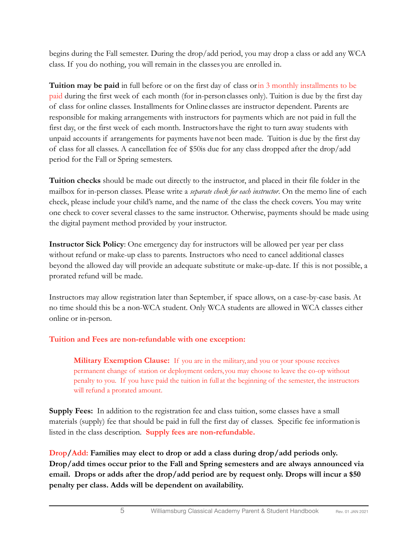begins during the Fall semester. During the drop/add period, you may drop a class or add any WCA class. If you do nothing, you will remain in the classes you are enrolled in.

**Tuition may be paid** in full before or on the first day of class or in 3 monthly installments to be paid during the first week of each month (for in-personclasses only). Tuition is due by the first day of class for online classes. Installments for Online classes are instructor dependent. Parents are responsible for making arrangements with instructors for payments which are not paid in full the first day, or the first week of each month. Instructorshave the right to turn away students with unpaid accounts if arrangements for payments havenot been made. Tuition is due by the first day of class for all classes. A cancellation fee of \$50is due for any class dropped after the drop/add period for the Fall or Spring semesters.

**Tuition checks** should be made out directly to the instructor, and placed in their file folder in the mailbox for in-person classes. Please write a *separate check for each instructor*. On the memo line of each check, please include your child's name, and the name of the class the check covers. You may write one check to cover several classes to the same instructor. Otherwise, payments should be made using the digital payment method provided by your instructor.

**Instructor Sick Policy**: One emergency day for instructors will be allowed per year per class without refund or make-up class to parents. Instructors who need to cancel additional classes beyond the allowed day will provide an adequate substitute or make-up-date. If this is not possible, a prorated refund will be made.

Instructors may allow registration later than September, if space allows, on a case-by-case basis. At no time should this be a non-WCA student. Only WCA students are allowed in WCA classes either online or in-person.

### **Tuition and Fees are non-refundable with one exception:**

**Military Exemption Clause:** If you are in the military, and you or your spouse receives permanent change of station or deployment orders, you may choose to leave the co-op without penalty to you. If you have paid the tuition in full at the beginning of the semester, the instructors will refund a prorated amount.

**Supply Fees:** In addition to the registration fee and class tuition, some classes have a small materials (supply) fee that should be paid in full the first day of classes. Specific fee informationis listed in the class description. **Supply fees are non-refundable.**

**Drop/Add: Families may elect to drop or add a class during drop/add periods only. Drop/add times occur prior to the Fall and Spring semesters and are always announced via email. Drops or adds after the drop/add period are by request only. Drops will incur a \$50 penalty per class. Adds will be dependent on availability.**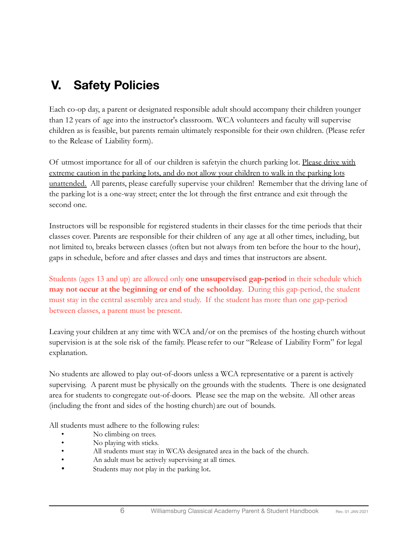# <span id="page-5-0"></span>**V. Safety Policies**

Each co-op day, a parent or designated responsible adult should accompany their children younger than 12 years of age into the instructor's classroom. WCA volunteers and faculty will supervise children as is feasible, but parents remain ultimately responsible for their own children. (Please refer to the Release of Liability form).

Of utmost importance for all of our children is safetyin the church parking lot. Please drive with extreme caution in the parking lots, and do not allow your children to walk in the parking lots unattended. All parents, please carefully supervise your children! Remember that the driving lane of the parking lot is a one-way street; enter the lot through the first entrance and exit through the second one.

Instructors will be responsible for registered students in their classes for the time periods that their classes cover. Parents are responsible for their children of any age at all other times, including, but not limited to, breaks between classes (often but not always from ten before the hour to the hour), gaps in schedule, before and after classes and days and times that instructors are absent.

Students (ages 13 and up) are allowed only **one unsupervised gap-period** in their schedule which **may not occur at the beginning or end of the schoolday**. During this gap-period, the student must stay in the central assembly area and study. If the student has more than one gap-period between classes, a parent must be present.

Leaving your children at any time with WCA and/or on the premises of the hosting church without supervision is at the sole risk of the family. Please refer to our "Release of Liability Form" for legal explanation.

No students are allowed to play out-of-doors unless a WCA representative or a parent is actively supervising. A parent must be physically on the grounds with the students. There is one designated area for students to congregate out-of-doors. Please see the map on the website. All other areas (including the front and sides of the hosting church) are out of bounds.

All students must adhere to the following rules:

- No climbing on trees.
- No playing with sticks.
- All students must stay in WCA's designated area in the back of the church.
- An adult must be actively supervising at all times.
- Students may not play in the parking lot.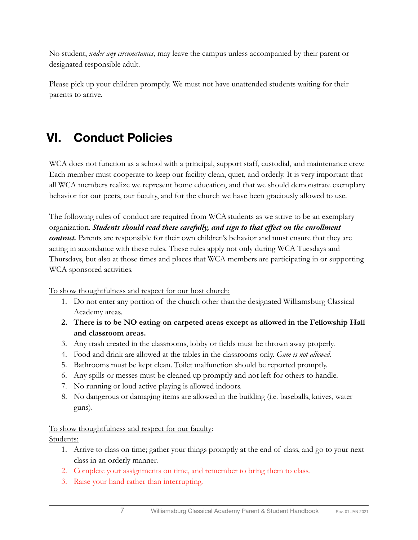No student, *under any circumstances*, may leave the campus unless accompanied by their parent or designated responsible adult.

Please pick up your children promptly. We must not have unattended students waiting for their parents to arrive.

# <span id="page-6-0"></span>**VI. Conduct Policies**

WCA does not function as a school with a principal, support staff, custodial, and maintenance crew. Each member must cooperate to keep our facility clean, quiet, and orderly. It is very important that all WCA members realize we represent home education, and that we should demonstrate exemplary behavior for our peers, our faculty, and for the church we have been graciously allowed to use.

The following rules of conduct are required from WCA students as we strive to be an exemplary organization. *Students should read these carefully, and sign to that effect on the enrollment contract.* Parents are responsible for their own children's behavior and must ensure that they are acting in accordance with these rules. These rules apply not only during WCA Tuesdays and Thursdays, but also at those times and places that WCA members are participating in or supporting WCA sponsored activities.

To show thoughtfulness and respect for our host church:

- 1. Do not enter any portion of the church other thanthe designated Williamsburg Classical Academy areas.
- **2. There is to be NO eating on carpeted areas except as allowed in the Fellowship Hall and classroom areas.**
- 3. Any trash created in the classrooms, lobby or fields must be thrown away properly.
- 4. Food and drink are allowed at the tables in the classrooms only. *Gum is not allowed.*
- 5. Bathrooms must be kept clean. Toilet malfunction should be reported promptly.
- 6. Any spills or messes must be cleaned up promptly and not left for others to handle.
- 7. No running or loud active playing is allowed indoors.
- 8. No dangerous or damaging items are allowed in the building (i.e. baseballs, knives, water guns).

To show thoughtfulness and respect for our faculty: Students:

- 1. Arrive to class on time; gather your things promptly at the end of class, and go to your next class in an orderly manner.
- 2. Complete your assignments on time, and remember to bring them to class.
- 3. Raise your hand rather than interrupting.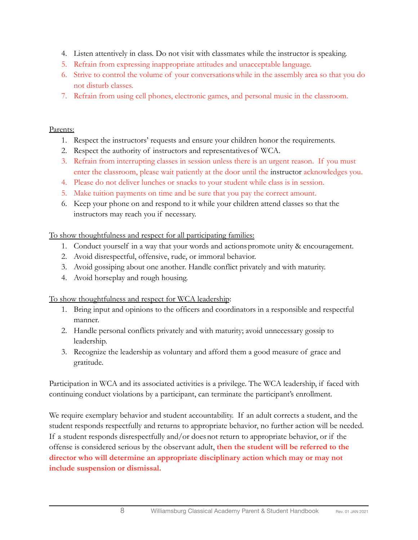- 4. Listen attentively in class. Do not visit with classmates while the instructor is speaking.
- 5. Refrain from expressing inappropriate attitudes and unacceptable language.
- 6. Strive to control the volume of your conversationswhile in the assembly area so that you do not disturb classes.
- 7. Refrain from using cell phones, electronic games, and personal music in the classroom.

### Parents:

- 1. Respect the instructors' requests and ensure your children honor the requirements.
- 2. Respect the authority of instructors and representativesof WCA.
- 3. Refrain from interrupting classes in session unless there is an urgent reason. If you must enter the classroom, please wait patiently at the door until the instructor acknowledges you.
- 4. Please do not deliver lunches or snacks to your student while class is in session.
- 5. Make tuition payments on time and be sure that you pay the correct amount.
- 6. Keep your phone on and respond to it while your children attend classes so that the instructors may reach you if necessary.

To show thoughtfulness and respect for all participating families:

- 1. Conduct yourself in a way that your words and actionspromote unity & encouragement.
- 2. Avoid disrespectful, offensive, rude, or immoral behavior.
- 3. Avoid gossiping about one another. Handle conflict privately and with maturity.
- 4. Avoid horseplay and rough housing.

To show thoughtfulness and respect for WCA leadership:

- 1. Bring input and opinions to the officers and coordinators in a responsible and respectful manner.
- 2. Handle personal conflicts privately and with maturity; avoid unnecessary gossip to leadership.
- 3. Recognize the leadership as voluntary and afford them a good measure of grace and gratitude.

Participation in WCA and its associated activities is a privilege. The WCA leadership, if faced with continuing conduct violations by a participant, can terminate the participant's enrollment.

We require exemplary behavior and student accountability. If an adult corrects a student, and the student responds respectfully and returns to appropriate behavior, no further action will be needed. If a student responds disrespectfully and/or does not return to appropriate behavior, or if the offense is considered serious by the observant adult, **then the student will be referred to the director who will determine an appropriate disciplinary action which may or may not include suspension or dismissal.**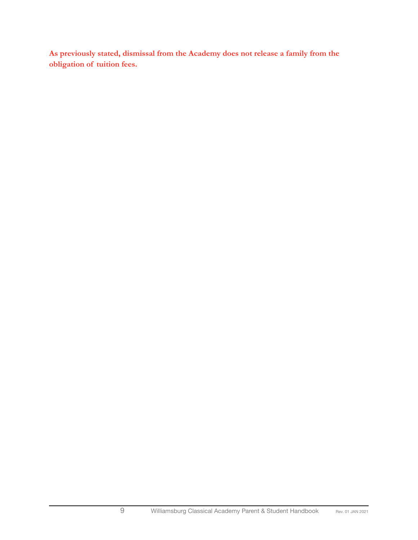**As previously stated, dismissal from the Academy does not release a family from the obligation of tuition fees.**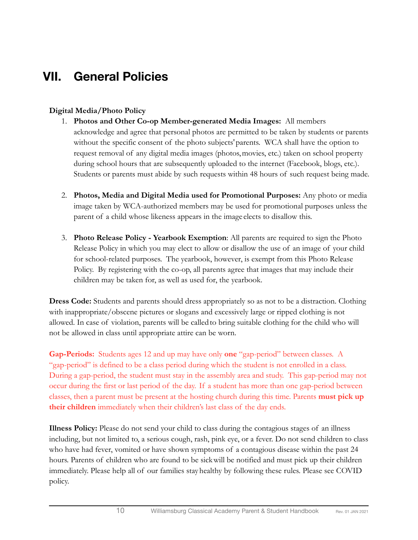# <span id="page-9-0"></span>**VII. General Policies**

### **Digital Media/Photo Policy**

- 1. **Photos and Other Co-op Member-generated Media Images:**  All members acknowledge and agree that personal photos are permitted to be taken by students or parents without the specific consent of the photo subjects'parents. WCA shall have the option to request removal of any digital media images (photos,movies, etc.) taken on school property during school hours that are subsequently uploaded to the internet (Facebook, blogs, etc.). Students or parents must abide by such requests within 48 hours of such request being made.
- 2. **Photos, Media and Digital Media used for Promotional Purposes:** Any photo or media image taken by WCA-authorized members may be used for promotional purposes unless the parent of a child whose likeness appears in the image elects to disallow this.
- 3. **Photo Release Policy Yearbook Exemption**: All parents are required to sign the Photo Release Policy in which you may elect to allow or disallow the use of an image of your child for school-related purposes. The yearbook, however, is exempt from this Photo Release Policy. By registering with the co-op, all parents agree that images that may include their children may be taken for, as well as used for, the yearbook.

**Dress Code:** Students and parents should dress appropriately so as not to be a distraction. Clothing with inappropriate/obscene pictures or slogans and excessively large or ripped clothing is not allowed. In case of violation, parents will be called to bring suitable clothing for the child who will not be allowed in class until appropriate attire can be worn.

**Gap-Periods:** Students ages 12 and up may have only **one** "gap-period" between classes. A "gap-period" is defined to be a class period during which the student is not enrolled in a class. During a gap-period, the student must stay in the assembly area and study. This gap-period may not occur during the first or last period of the day. If a student has more than one gap-period between classes, then a parent must be present at the hosting church during this time. Parents **must pick up their children** immediately when their children's last class of the day ends.

**Illness Policy:** Please do not send your child to class during the contagious stages of an illness including, but not limited to, a serious cough, rash, pink eye, or a fever. Do not send children to class who have had fever, vomited or have shown symptoms of a contagious disease within the past 24 hours. Parents of children who are found to be sickwill be notified and must pick up their children immediately. Please help all of our families stayhealthy by following these rules. Please see COVID policy.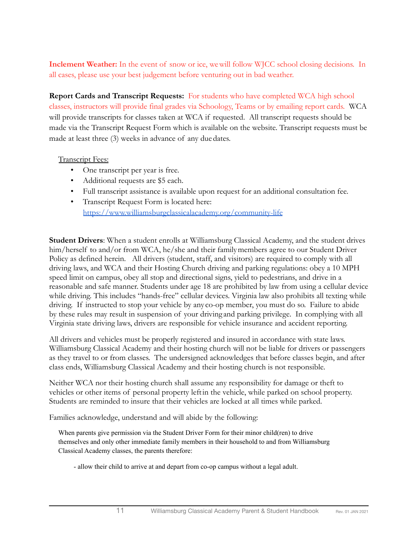**Inclement Weather:** In the event of snow or ice, wewill follow WJCC school closing decisions. In all cases, please use your best judgement before venturing out in bad weather.

**Report Cards and Transcript Requests:** For students who have completed WCA high school classes, instructors will provide final grades via Schoology, Teams or by emailing report cards. WCA will provide transcripts for classes taken at WCA if requested. All transcript requests should be made via the Transcript Request Form which is available on the website. Transcript requests must be made at least three (3) weeks in advance of any duedates.

### Transcript Fees:

- One transcript per year is free.
- Additional requests are \$5 each.
- Full transcript assistance is available upon request for an additional consultation fee.
- Transcript Request Form is located here: <https://www.williamsburgclassicalacademy.org/community-life>

**Student Drivers**: When a student enrolls at Williamsburg Classical Academy, and the student drives him/herself to and/or from WCA, he/she and their familymembers agree to our Student Driver Policy as defined herein. All drivers (student, staff, and visitors) are required to comply with all driving laws, and WCA and their Hosting Church driving and parking regulations: obey a 10 MPH speed limit on campus, obey all stop and directional signs, yield to pedestrians, and drive in a reasonable and safe manner. Students under age 18 are prohibited by law from using a cellular device while driving. This includes "hands-free" cellular devices. Virginia law also prohibits all texting while driving. If instructed to stop your vehicle by any co-op member, you must do so. Failure to abide by these rules may result in suspension of your driving and parking privilege. In complying with all Virginia state driving laws, drivers are responsible for vehicle insurance and accident reporting.

All drivers and vehicles must be properly registered and insured in accordance with state laws. Williamsburg Classical Academy and their hosting church will not be liable for drivers or passengers as they travel to or from classes. The undersigned acknowledges that before classes begin, and after class ends, Williamsburg Classical Academy and their hosting church is not responsible.

Neither WCA nor their hosting church shall assume any responsibility for damage or theft to vehicles or other items of personal property leftin the vehicle, while parked on school property. Students are reminded to insure that their vehicles are locked at all times while parked.

Families acknowledge, understand and will abide by the following:

When parents give permission via the Student Driver Form for their minor child(ren) to drive themselves and only other immediate family members in their household to and from Williamsburg Classical Academy classes, the parents therefore:

- allow their child to arrive at and depart from co-op campus without a legal adult.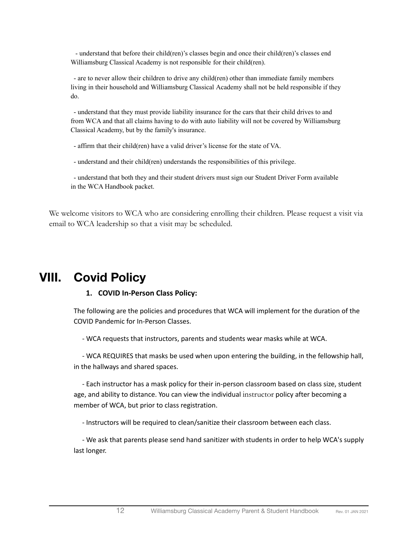- understand that before their child(ren)'s classes begin and once their child(ren)'s classes end Williamsburg Classical Academy is not responsible for their child(ren).

- are to never allow their children to drive any child(ren) other than immediate family members living in their household and Williamsburg Classical Academy shall not be held responsible if they do.

- understand that they must provide liability insurance for the cars that their child drives to and from WCA and that all claims having to do with auto liability will not be covered by Williamsburg Classical Academy, but by the family's insurance.

- affirm that their child(ren) have a valid driver's license for the state of VA.

- understand and their child(ren) understands the responsibilities of this privilege.

- understand that both they and their student drivers must sign our Student Driver Form available in the WCA Handbook packet.

We welcome visitors to WCA who are considering enrolling their children. Please request a visit via email to WCA leadership so that a visit may be scheduled.

## <span id="page-11-0"></span>**VIII. Covid Policy**

### **1. COVID In-Person Class Policy:**

The following are the policies and procedures that WCA will implement for the duration of the COVID Pandemic for In-Person Classes.

- WCA requests that instructors, parents and students wear masks while at WCA.

- WCA REQUIRES that masks be used when upon entering the building, in the fellowship hall, in the hallways and shared spaces.

- Each instructor has a mask policy for their in-person classroom based on class size, student age, and ability to distance. You can view the individual instructor policy after becoming a member of WCA, but prior to class registration.

- Instructors will be required to clean/sanitize their classroom between each class.

- We ask that parents please send hand sanitizer with students in order to help WCA's supply last longer.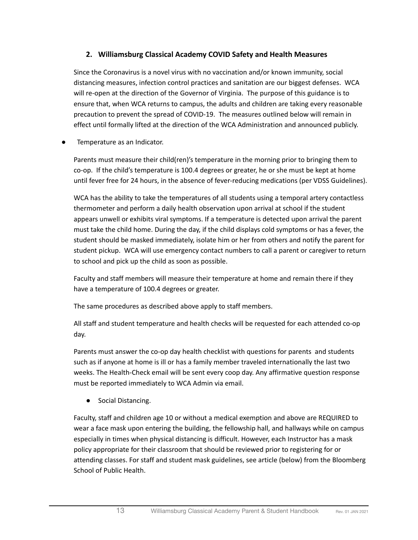### **2. Williamsburg Classical Academy COVID Safety and Health Measures**

Since the Coronavirus is a novel virus with no vaccination and/or known immunity, social distancing measures, infection control practices and sanitation are our biggest defenses. WCA will re-open at the direction of the Governor of Virginia. The purpose of this guidance is to ensure that, when WCA returns to campus, the adults and children are taking every reasonable precaution to prevent the spread of COVID-19. The measures outlined below will remain in effect until formally lifted at the direction of the WCA Administration and announced publicly.

Temperature as an Indicator.

Parents must measure their child(ren)'s temperature in the morning prior to bringing them to co-op. If the child's temperature is 100.4 degrees or greater, he or she must be kept at home until fever free for 24 hours, in the absence of fever-reducing medications (per VDSS Guidelines).

WCA has the ability to take the temperatures of all students using a temporal artery contactless thermometer and perform a daily health observation upon arrival at school if the student appears unwell or exhibits viral symptoms. If a temperature is detected upon arrival the parent must take the child home. During the day, if the child displays cold symptoms or has a fever, the student should be masked immediately, isolate him or her from others and notify the parent for student pickup. WCA will use emergency contact numbers to call a parent or caregiver to return to school and pick up the child as soon as possible.

Faculty and staff members will measure their temperature at home and remain there if they have a temperature of 100.4 degrees or greater.

The same procedures as described above apply to staff members.

All staff and student temperature and health checks will be requested for each attended co-op day.

Parents must answer the co-op day health checklist with questions for parents and students such as if anyone at home is ill or has a family member traveled internationally the last two weeks. The Health-Check email will be sent every coop day. Any affirmative question response must be reported immediately to WCA Admin via email.

● Social Distancing.

Faculty, staff and children age 10 or without a medical exemption and above are REQUIRED to wear a face mask upon entering the building, the fellowship hall, and hallways while on campus especially in times when physical distancing is difficult. However, each Instructor has a mask policy appropriate for their classroom that should be reviewed prior to registering for or attending classes. For staff and student mask guidelines, see article (below) from the Bloomberg School of Public Health.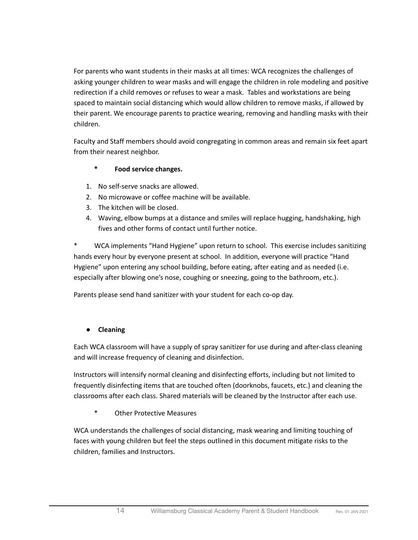For parents who want students in their masks at all times: WCA recognizes the challenges of asking younger children to wear masks and will engage the children in role modeling and positive redirection if a child removes or refuses to wear a mask. Tables and workstations are being spaced to maintain social distancing which would allow children to remove masks, if allowed by their parent. We encourage parents to practice wearing, removing and handling masks with their children.

Faculty and Staff members should avoid congregating in common areas and remain six feet apart from their nearest neighbor.

### **\* Food service changes.**

- 1. No self-serve snacks are allowed.
- 2. No microwave or coffee machine will be available.
- 3. The kitchen will be closed.
- 4. Waving, elbow bumps at a distance and smiles will replace hugging, handshaking, high fives and other forms of contact until further notice.

WCA implements "Hand Hygiene" upon return to school. This exercise includes sanitizing hands every hour by everyone present at school. In addition, everyone will practice "Hand Hygiene" upon entering any school building, before eating, after eating and as needed (i.e. especially after blowing one's nose, coughing or sneezing, going to the bathroom, etc.).

Parents please send hand sanitizer with your student for each co-op day.

### **● Cleaning**

Each WCA classroom will have a supply of spray sanitizer for use during and after-class cleaning and will increase frequency of cleaning and disinfection.

Instructors will intensify normal cleaning and disinfecting efforts, including but not limited to frequently disinfecting items that are touched often (doorknobs, faucets, etc.) and cleaning the classrooms after each class. Shared materials will be cleaned by the Instructor after each use.

\* Other Protective Measures

WCA understands the challenges of social distancing, mask wearing and limiting touching of faces with young children but feel the steps outlined in this document mitigate risks to the children, families and Instructors.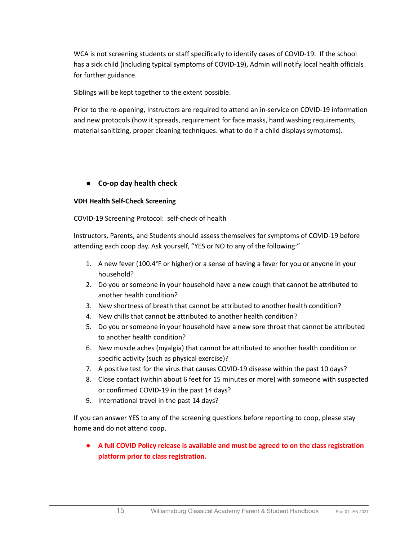WCA is not screening students or staff specifically to identify cases of COVID-19. If the school has a sick child (including typical symptoms of COVID-19), Admin will notify local health officials for further guidance.

Siblings will be kept together to the extent possible.

Prior to the re-opening, Instructors are required to attend an in-service on COVID-19 information and new protocols (how it spreads, requirement for face masks, hand washing requirements, material sanitizing, proper cleaning techniques. what to do if a child displays symptoms).

### **● Co-op day health check**

### **VDH Health Self-Check Screening**

COVID-19 Screening Protocol: self-check of health

Instructors, Parents, and Students should assess themselves for symptoms of COVID-19 before attending each coop day. Ask yourself, "YES or NO to any of the following:"

- 1. A new fever (100.4°F or higher) or a sense of having a fever for you or anyone in your household?
- 2. Do you or someone in your household have a new cough that cannot be attributed to another health condition?
- 3. New shortness of breath that cannot be attributed to another health condition?
- 4. New chills that cannot be attributed to another health condition?
- 5. Do you or someone in your household have a new sore throat that cannot be attributed to another health condition?
- 6. New muscle aches (myalgia) that cannot be attributed to another health condition or specific activity (such as physical exercise)?
- 7. A positive test for the virus that causes COVID-19 disease within the past 10 days?
- 8. Close contact (within about 6 feet for 15 minutes or more) with someone with suspected or confirmed COVID-19 in the past 14 days?
- 9. International travel in the past 14 days?

If you can answer YES to any of the screening questions before reporting to coop, please stay home and do not attend coop.

**● A full COVID Policy release is available and must be agreed to on the class registration platform prior to class registration.**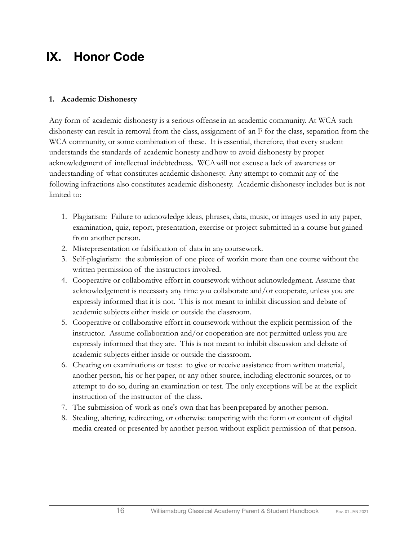# <span id="page-15-0"></span>**IX. Honor Code**

### **1. Academic Dishonesty**

Any form of academic dishonesty is a serious offense in an academic community. At WCA such dishonesty can result in removal from the class, assignment of an F for the class, separation from the WCA community, or some combination of these. It is essential, therefore, that every student understands the standards of academic honesty andhow to avoid dishonesty by proper acknowledgment of intellectual indebtedness. WCAwill not excuse a lack of awareness or understanding of what constitutes academic dishonesty. Any attempt to commit any of the following infractions also constitutes academic dishonesty. Academic dishonesty includes but is not limited to:

- 1. Plagiarism: Failure to acknowledge ideas, phrases, data, music, or images used in any paper, examination, quiz, report, presentation, exercise or project submitted in a course but gained from another person.
- 2. Misrepresentation or falsification of data in any coursework.
- 3. Self-plagiarism: the submission of one piece of workin more than one course without the written permission of the instructors involved.
- 4. Cooperative or collaborative effort in coursework without acknowledgment. Assume that acknowledgement is necessary any time you collaborate and/or cooperate, unless you are expressly informed that it is not. This is not meant to inhibit discussion and debate of academic subjects either inside or outside the classroom.
- 5. Cooperative or collaborative effort in coursework without the explicit permission of the instructor. Assume collaboration and/or cooperation are not permitted unless you are expressly informed that they are. This is not meant to inhibit discussion and debate of academic subjects either inside or outside the classroom.
- 6. Cheating on examinations or tests: to give or receive assistance from written material, another person, his or her paper, or any other source, including electronic sources, or to attempt to do so, during an examination or test. The only exceptions will be at the explicit instruction of the instructor of the class.
- 7. The submission of work as one's own that has beenprepared by another person.
- 8. Stealing, altering, redirecting, or otherwise tampering with the form or content of digital media created or presented by another person without explicit permission of that person.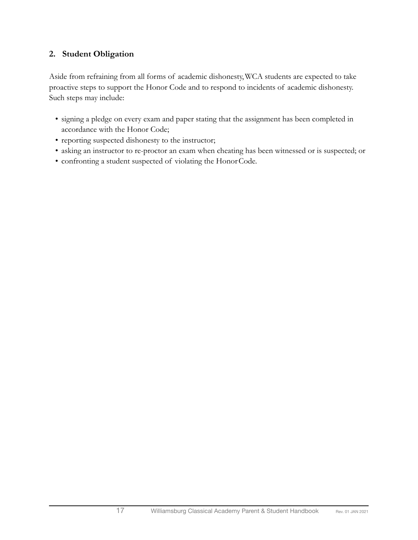### **2. Student Obligation**

Aside from refraining from all forms of academic dishonesty,WCA students are expected to take proactive steps to support the Honor Code and to respond to incidents of academic dishonesty. Such steps may include:

- signing a pledge on every exam and paper stating that the assignment has been completed in accordance with the Honor Code;
- reporting suspected dishonesty to the instructor;
- asking an instructor to re-proctor an exam when cheating has been witnessed or is suspected; or
- confronting a student suspected of violating the HonorCode.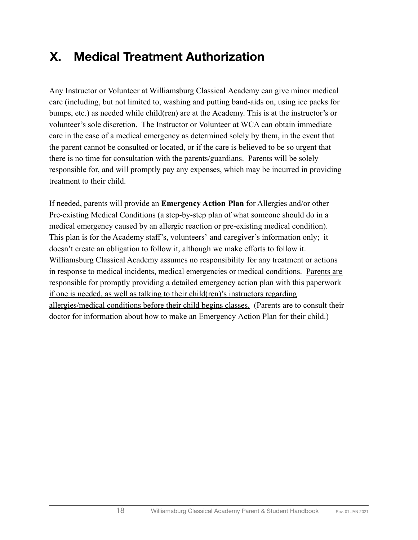# <span id="page-17-0"></span>**X. Medical Treatment Authorization**

Any Instructor or Volunteer at Williamsburg Classical Academy can give minor medical care (including, but not limited to, washing and putting band-aids on, using ice packs for bumps, etc.) as needed while child(ren) are at the Academy. This is at the instructor's or volunteer's sole discretion. The Instructor or Volunteer at WCA can obtain immediate care in the case of a medical emergency as determined solely by them, in the event that the parent cannot be consulted or located, or if the care is believed to be so urgent that there is no time for consultation with the parents/guardians. Parents will be solely responsible for, and will promptly pay any expenses, which may be incurred in providing treatment to their child.

If needed, parents will provide an **Emergency Action Plan** for Allergies and/or other Pre-existing Medical Conditions (a step-by-step plan of what someone should do in a medical emergency caused by an allergic reaction or pre-existing medical condition). This plan is for the Academy staff's, volunteers' and caregiver's information only; it doesn't create an obligation to follow it, although we make efforts to follow it. Williamsburg Classical Academy assumes no responsibility for any treatment or actions in response to medical incidents, medical emergencies or medical conditions. Parents are responsible for promptly providing a detailed emergency action plan with this paperwork if one is needed, as well as talking to their child(ren)'s instructors regarding allergies/medical conditions before their child begins classes. (Parents are to consult their doctor for information about how to make an Emergency Action Plan for their child.)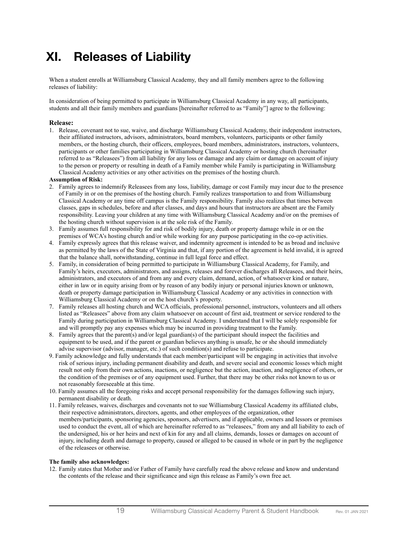# <span id="page-18-0"></span>**XI. Releases of Liability**

When a student enrolls at Williamsburg Classical Academy, they and all family members agree to the following releases of liability:

In consideration of being permitted to participate in Williamsburg Classical Academy in any way, all participants, students and all their family members and guardians [hereinafter referred to as "Family"] agree to the following:

#### **Release:**

1. Release, covenant not to sue, waive, and discharge Williamsburg Classical Academy, their independent instructors, their affiliated instructors, advisors, administrators, board members, volunteers, participants or other family members, or the hosting church, their officers, employees, board members, administrators, instructors, volunteers, participants or other families participating in Williamsburg Classical Academy or hosting church (hereinafter referred to as "Releasees") from all liability for any loss or damage and any claim or damage on account of injury to the person or property or resulting in death of a Family member while Family is participating in Williamsburg Classical Academy activities or any other activities on the premises of the hosting church.

#### **Assumption of Risk:**

- 2. Family agrees to indemnify Releasees from any loss, liability, damage or cost Family may incur due to the presence of Family in or on the premises of the hosting church. Family realizes transportation to and from Williamsburg Classical Academy or any time off campus is the Family responsibility. Family also realizes that times between classes, gaps in schedules, before and after classes, and days and hours that instructors are absent are the Family responsibility. Leaving your children at any time with Williamsburg Classical Academy and/or on the premises of the hosting church without supervision is at the sole risk of the Family.
- 3. Family assumes full responsibility for and risk of bodily injury, death or property damage while in or on the premises of WCA's hosting church and/or while working for any purpose participating in the co-op activities.
- 4. Family expressly agrees that this release waiver, and indemnity agreement is intended to be as broad and inclusive as permitted by the laws of the State of Virginia and that, if any portion of the agreement is held invalid, it is agreed that the balance shall, notwithstanding, continue in full legal force and effect.
- 5. Family, in consideration of being permitted to participate in Williamsburg Classical Academy, for Family, and Family's heirs, executors, administrators, and assigns, releases and forever discharges all Releasees, and their heirs, administrators, and executors of and from any and every claim, demand, action, of whatsoever kind or nature, either in law or in equity arising from or by reason of any bodily injury or personal injuries known or unknown, death or property damage participation in Williamsburg Classical Academy or any activities in connection with Williamsburg Classical Academy or on the host church's property.
- 7. Family releases all hosting church and WCA officials, professional personnel, instructors, volunteers and all others listed as "Releasees" above from any claim whatsoever on account of first aid, treatment or service rendered to the Family during participation in Williamsburg Classical Academy. I understand that I will be solely responsible for and will promptly pay any expenses which may be incurred in providing treatment to the Family.
- 8. Family agrees that the parent(s) and/or legal guardian(s) of the participant should inspect the facilities and equipment to be used, and if the parent or guardian believes anything is unsafe, he or she should immediately advise supervisor (advisor, manager, etc.) of such condition(s) and refuse to participate.
- 9. Family acknowledge and fully understands that each member/participant will be engaging in activities that involve risk of serious injury, including permanent disability and death, and severe social and economic losses which might result not only from their own actions, inactions, or negligence but the action, inaction, and negligence of others, or the condition of the premises or of any equipment used. Further, that there may be other risks not known to us or not reasonably foreseeable at this time.
- 10. Family assumes all the foregoing risks and accept personal responsibility for the damages following such injury, permanent disability or death.
- 11. Family releases, waives, discharges and covenants not to sue Williamsburg Classical Academy its affiliated clubs, their respective administrators, directors, agents, and other employees of the organization, other members/participants, sponsoring agencies, sponsors, advertisers, and if applicable, owners and lessors or premises used to conduct the event, all of which are hereinafter referred to as "releasees," from any and all liability to each of the undersigned, his or her heirs and next of kin for any and all claims, demands, losses or damages on account of injury, including death and damage to property, caused or alleged to be caused in whole or in part by the negligence of the releasees or otherwise.

#### **The family also acknowledges:**

12. Family states that Mother and/or Father of Family have carefully read the above release and know and understand the contents of the release and their significance and sign this release as Family's own free act.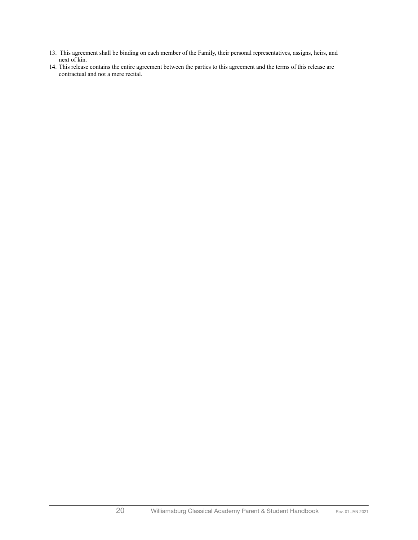- 13. This agreement shall be binding on each member of the Family, their personal representatives, assigns, heirs, and next of kin.
- 14. This release contains the entire agreement between the parties to this agreement and the terms of this release are contractual and not a mere recital.